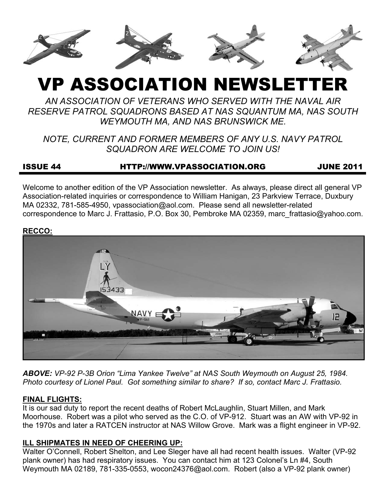

# VP ASSOCIATION NEWSLETTER

*AN ASSOCIATION OF VETERANS WHO SERVED WITH THE NAVAL AIR RESERVE PATROL SQUADRONS BASED AT NAS SQUANTUM MA, NAS SOUTH WEYMOUTH MA, AND NAS BRUNSWICK ME.* 

*NOTE, CURRENT AND FORMER MEMBERS OF ANY U.S. NAVY PATROL SQUADRON ARE WELCOME TO JOIN US!* 

# ISSUE 44 HTTP://WWW.VPASSOCIATION.ORG JUNE 2011

Welcome to another edition of the VP Association newsletter. As always, please direct all general VP Association-related inquiries or correspondence to William Hanigan, 23 Parkview Terrace, Duxbury MA 02332, 781-585-4950, vpassociation@aol.com. Please send all newsletter-related correspondence to Marc J. Frattasio, P.O. Box 30, Pembroke MA 02359, marc\_frattasio@yahoo.com.

#### **RECCO:**



*ABOVE: VP-92 P-3B Orion "Lima Yankee Twelve" at NAS South Weymouth on August 25, 1984. Photo courtesy of Lionel Paul. Got something similar to share? If so, contact Marc J. Frattasio.* 

#### **FINAL FLIGHTS:**

It is our sad duty to report the recent deaths of Robert McLaughlin, Stuart Millen, and Mark Moorhouse. Robert was a pilot who served as the C.O. of VP-912. Stuart was an AW with VP-92 in the 1970s and later a RATCEN instructor at NAS Willow Grove. Mark was a flight engineer in VP-92.

## **ILL SHIPMATES IN NEED OF CHEERING UP:**

Walter O'Connell, Robert Shelton, and Lee Sleger have all had recent health issues. Walter (VP-92 plank owner) has had respiratory issues. You can contact him at 123 Colonel's Ln #4, South Weymouth MA 02189, 781-335-0553, wocon24376@aol.com. Robert (also a VP-92 plank owner)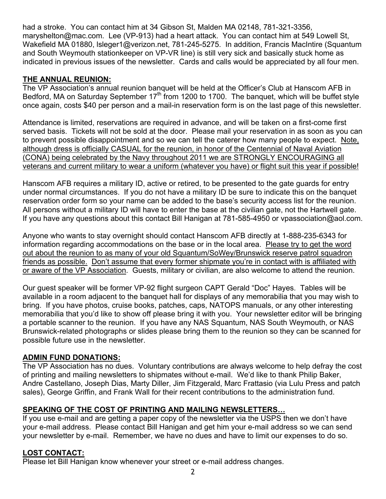had a stroke. You can contact him at 34 Gibson St, Malden MA 02148, 781-321-3356, maryshelton@mac.com. Lee (VP-913) had a heart attack. You can contact him at 549 Lowell St, Wakefield MA 01880, lsleger1@verizon.net, 781-245-5275. In addition, Francis MacIntire (Squantum and South Weymouth stationkeeper on VP-VR line) is still very sick and basically stuck home as indicated in previous issues of the newsletter. Cards and calls would be appreciated by all four men.

# **THE ANNUAL REUNION:**

The VP Association's annual reunion banquet will be held at the Officer's Club at Hanscom AFB in Bedford, MA on Saturday September  $17<sup>th</sup>$  from 1200 to 1700. The banquet, which will be buffet style once again, costs \$40 per person and a mail-in reservation form is on the last page of this newsletter.

Attendance is limited, reservations are required in advance, and will be taken on a first-come first served basis. Tickets will not be sold at the door. Please mail your reservation in as soon as you can to prevent possible disappointment and so we can tell the caterer how many people to expect. Note, although dress is officially CASUAL for the reunion, in honor of the Centennial of Naval Aviation (CONA) being celebrated by the Navy throughout 2011 we are STRONGLY ENCOURAGING all veterans and current military to wear a uniform (whatever you have) or flight suit this year if possible!

Hanscom AFB requires a military ID, active or retired, to be presented to the gate guards for entry under normal circumstances. If you do not have a military ID be sure to indicate this on the banquet reservation order form so your name can be added to the base's security access list for the reunion. All persons without a military ID will have to enter the base at the civilian gate, not the Hartwell gate. If you have any questions about this contact Bill Hanigan at 781-585-4950 or vpassociation@aol.com.

Anyone who wants to stay overnight should contact Hanscom AFB directly at 1-888-235-6343 for information regarding accommodations on the base or in the local area. Please try to get the word out about the reunion to as many of your old Squantum/SoWey/Brunswick reserve patrol squadron friends as possible. Don't assume that every former shipmate you're in contact with is affiliated with or aware of the VP Association. Guests, military or civilian, are also welcome to attend the reunion.

Our guest speaker will be former VP-92 flight surgeon CAPT Gerald "Doc" Hayes. Tables will be available in a room adjacent to the banquet hall for displays of any memorabilia that you may wish to bring. If you have photos, cruise books, patches, caps, NATOPS manuals, or any other interesting memorabilia that you'd like to show off please bring it with you. Your newsletter editor will be bringing a portable scanner to the reunion. If you have any NAS Squantum, NAS South Weymouth, or NAS Brunswick-related photographs or slides please bring them to the reunion so they can be scanned for possible future use in the newsletter.

## **ADMIN FUND DONATIONS:**

The VP Association has no dues. Voluntary contributions are always welcome to help defray the cost of printing and mailing newsletters to shipmates without e-mail. We'd like to thank Philip Baker, Andre Castellano, Joseph Dias, Marty Diller, Jim Fitzgerald, Marc Frattasio (via Lulu Press and patch sales), George Griffin, and Frank Wall for their recent contributions to the administration fund.

## **SPEAKING OF THE COST OF PRINTING AND MAILING NEWSLETTERS…**

If you use e-mail and are getting a paper copy of the newsletter via the USPS then we don't have your e-mail address. Please contact Bill Hanigan and get him your e-mail address so we can send your newsletter by e-mail. Remember, we have no dues and have to limit our expenses to do so.

## **LOST CONTACT:**

Please let Bill Hanigan know whenever your street or e-mail address changes.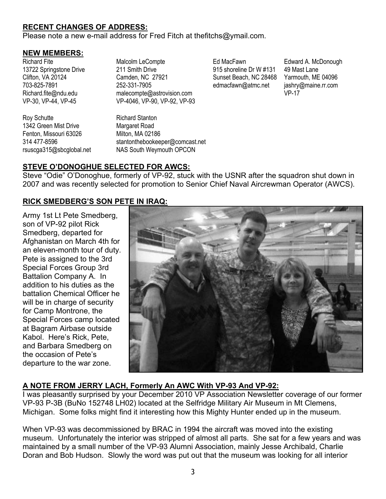# **RECENT CHANGES OF ADDRESS:**

Please note a new e-mail address for Fred Fitch at thefitchs@ymail.com.

#### **NEW MEMBERS:**

Richard Fite 13722 Springstone Drive Clifton, VA 20124 703-825-7891 Richard.fite@ndu.edu VP-30, VP-44, VP-45

Roy Schutte 1342 Green Mist Drive Fenton, Missouri 63026 314 477-8596 rsuscga315@sbcglobal.net Malcolm LeCompte 211 Smith Drive Camden, NC 27921 252-331-7905 malecompte@astrovision.com VP-4046, VP-90, VP-92, VP-93

Richard Stanton Margaret Road Milton, MA 02186 stantonthebookeeper@comcast.net NAS South Weymouth OPCON

Ed MacFawn 915 shoreline Dr W #131 Sunset Beach, NC 28468 edmacfawn@atmc.net

Edward A. McDonough 49 Mast Lane Yarmouth, ME 04096 jashry@maine.rr.com VP-17

# **STEVE O'DONOGHUE SELECTED FOR AWCS:**

Steve "Odie" O'Donoghue, formerly of VP-92, stuck with the USNR after the squadron shut down in 2007 and was recently selected for promotion to Senior Chief Naval Aircrewman Operator (AWCS).

## **RICK SMEDBERG'S SON PETE IN IRAQ:**

Army 1st Lt Pete Smedberg, son of VP-92 pilot Rick Smedberg, departed for Afghanistan on March 4th for an eleven-month tour of duty. Pete is assigned to the 3rd Special Forces Group 3rd Battalion Company A. In addition to his duties as the battalion Chemical Officer he will be in charge of security for Camp Montrone, the Special Forces camp located at Bagram Airbase outside Kabol. Here's Rick, Pete, and Barbara Smedberg on the occasion of Pete's departure to the war zone.



# **A NOTE FROM JERRY LACH, Formerly An AWC With VP-93 And VP-92:**

I was pleasantly surprised by your December 2010 VP Association Newsletter coverage of our former VP-93 P-3B (BuNo 152748 LH02) located at the Selfridge Military Air Museum in Mt Clemens, Michigan. Some folks might find it interesting how this Mighty Hunter ended up in the museum.

When VP-93 was decommissioned by BRAC in 1994 the aircraft was moved into the existing museum. Unfortunately the interior was stripped of almost all parts. She sat for a few years and was maintained by a small number of the VP-93 Alumni Association, mainly Jesse Archibald, Charlie Doran and Bob Hudson. Slowly the word was put out that the museum was looking for all interior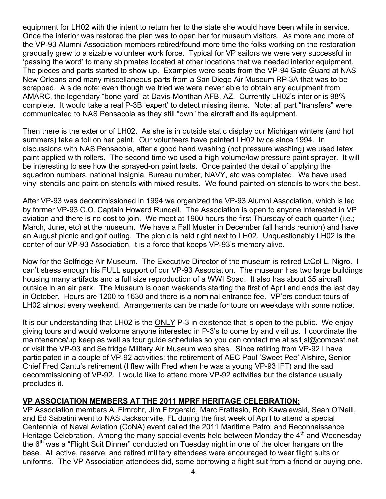equipment for LH02 with the intent to return her to the state she would have been while in service. Once the interior was restored the plan was to open her for museum visitors. As more and more of the VP-93 Alumni Association members retired/found more time the folks working on the restoration gradually grew to a sizable volunteer work force. Typical for VP sailors we were very successful in 'passing the word' to many shipmates located at other locations that we needed interior equipment. The pieces and parts started to show up. Examples were seats from the VP-94 Gate Guard at NAS New Orleans and many miscellaneous parts from a San Diego Air Museum RP-3A that was to be scrapped. A side note; even though we tried we were never able to obtain any equipment from AMARC, the legendary "bone yard" at Davis-Monthan AFB, AZ. Currently LH02's interior is 98% complete. It would take a real P-3B 'expert' to detect missing items. Note; all part "transfers" were communicated to NAS Pensacola as they still "own" the aircraft and its equipment.

Then there is the exterior of LH02. As she is in outside static display our Michigan winters (and hot summers) take a toll on her paint. Our volunteers have painted LH02 twice since 1994. In discussions with NAS Pensacola, after a good hand washing (not pressure washing) we used latex paint applied with rollers. The second time we used a high volume/low pressure paint sprayer. It will be interesting to see how the sprayed-on paint lasts. Once painted the detail of applying the squadron numbers, national insignia, Bureau number, NAVY, etc was completed. We have used vinyl stencils and paint-on stencils with mixed results. We found painted-on stencils to work the best.

After VP-93 was decommissioned in 1994 we organized the VP-93 Alumni Association, which is led by former VP-93 C.O. Captain Howard Rundell. The Association is open to anyone interested in VP aviation and there is no cost to join. We meet at 1900 hours the first Thursday of each quarter (i.e.; March, June, etc) at the museum. We have a Fall Muster in December (all hands reunion) and have an August picnic and golf outing. The picnic is held right next to LH02. Unquestionably LH02 is the center of our VP-93 Association, it is a force that keeps VP-93's memory alive.

Now for the Selfridge Air Museum. The Executive Director of the museum is retired LtCol L. Nigro. I can't stress enough his FULL support of our VP-93 Association. The museum has two large buildings housing many artifacts and a full size reproduction of a WWI Spad. It also has about 35 aircraft outside in an air park. The Museum is open weekends starting the first of April and ends the last day in October. Hours are 1200 to 1630 and there is a nominal entrance fee. VP'ers conduct tours of LH02 almost every weekend. Arrangements can be made for tours on weekdays with some notice.

It is our understanding that LH02 is the **ONLY P-3** in existence that is open to the public. We enjoy giving tours and would welcome anyone interested in P-3's to come by and visit us. I coordinate the maintenance/up keep as well as tour guide schedules so you can contact me at ss1jsl@comcast.net, or visit the VP-93 and Selfridge Military Air Museum web sites. Since retiring from VP-92 I have participated in a couple of VP-92 activities; the retirement of AEC Paul 'Sweet Pee' Alshire, Senior Chief Fred Cantu's retirement (I flew with Fred when he was a young VP-93 IFT) and the sad decommissioning of VP-92. I would like to attend more VP-92 activities but the distance usually precludes it.

## **VP ASSOCIATION MEMBERS AT THE 2011 MPRF HERITAGE CELEBRATION:**

VP Association members Al Firnrohr, Jim Fitzgerald, Marc Frattasio, Bob Kawalewski, Sean O'Neill, and Ed Sabatini went to NAS Jacksonville, FL during the first week of April to attend a special Centennial of Naval Aviation (CoNA) event called the 2011 Maritime Patrol and Reconnaissance Heritage Celebration. Among the many special events held between Monday the  $4<sup>th</sup>$  and Wednesday the  $6<sup>th</sup>$  was a "Flight Suit Dinner" conducted on Tuesday night in one of the older hangars on the base. All active, reserve, and retired military attendees were encouraged to wear flight suits or uniforms. The VP Association attendees did, some borrowing a flight suit from a friend or buying one.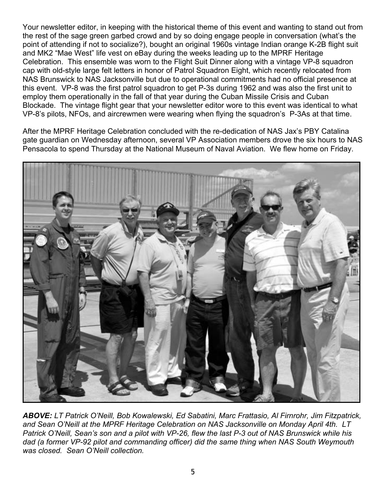Your newsletter editor, in keeping with the historical theme of this event and wanting to stand out from the rest of the sage green garbed crowd and by so doing engage people in conversation (what's the point of attending if not to socialize?), bought an original 1960s vintage Indian orange K-2B flight suit and MK2 "Mae West" life vest on eBay during the weeks leading up to the MPRF Heritage Celebration. This ensemble was worn to the Flight Suit Dinner along with a vintage VP-8 squadron cap with old-style large felt letters in honor of Patrol Squadron Eight, which recently relocated from NAS Brunswick to NAS Jacksonville but due to operational commitments had no official presence at this event. VP-8 was the first patrol squadron to get P-3s during 1962 and was also the first unit to employ them operationally in the fall of that year during the Cuban Missile Crisis and Cuban Blockade. The vintage flight gear that your newsletter editor wore to this event was identical to what VP-8's pilots, NFOs, and aircrewmen were wearing when flying the squadron's P-3As at that time.

After the MPRF Heritage Celebration concluded with the re-dedication of NAS Jax's PBY Catalina gate guardian on Wednesday afternoon, several VP Association members drove the six hours to NAS Pensacola to spend Thursday at the National Museum of Naval Aviation. We flew home on Friday.



*ABOVE: LT Patrick O'Neill, Bob Kowalewski, Ed Sabatini, Marc Frattasio, Al Firnrohr, Jim Fitzpatrick, and Sean O'Neill at the MPRF Heritage Celebration on NAS Jacksonville on Monday April 4th. LT Patrick O'Neill, Sean's son and a pilot with VP-26, flew the last P-3 out of NAS Brunswick while his dad (a former VP-92 pilot and commanding officer) did the same thing when NAS South Weymouth was closed. Sean O'Neill collection.*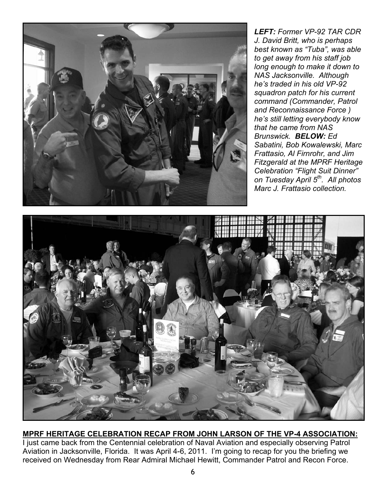![](_page_5_Picture_0.jpeg)

*LEFT: Former VP-92 TAR CDR J. David Britt, who is perhaps best known as "Tuba", was able to get away from his staff job long enough to make it down to NAS Jacksonville. Although he's traded in his old VP-92 squadron patch for his current command (Commander, Patrol and Reconnaissance Force ) he's still letting everybody know that he came from NAS Brunswick. BELOW: Ed Sabatini, Bob Kowalewski, Marc Frattasio, Al Firnrohr, and Jim Fitzgerald at the MPRF Heritage Celebration "Flight Suit Dinner" on Tuesday April 5th. All photos Marc J. Frattasio collection.* 

![](_page_5_Picture_2.jpeg)

## **MPRF HERITAGE CELEBRATION RECAP FROM JOHN LARSON OF THE VP-4 ASSOCIATION:**

I just came back from the Centennial celebration of Naval Aviation and especially observing Patrol Aviation in Jacksonville, Florida. It was April 4-6, 2011. I'm going to recap for you the briefing we received on Wednesday from Rear Admiral Michael Hewitt, Commander Patrol and Recon Force.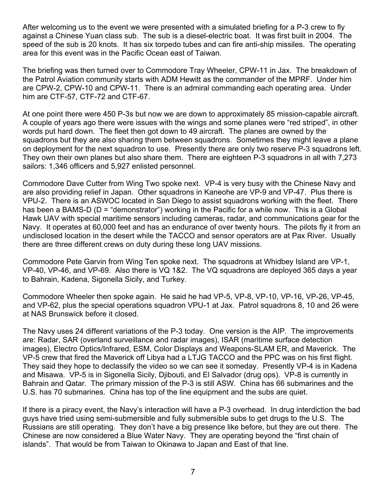After welcoming us to the event we were presented with a simulated briefing for a P-3 crew to fly against a Chinese Yuan class sub. The sub is a diesel-electric boat. It was first built in 2004. The speed of the sub is 20 knots. It has six torpedo tubes and can fire anti-ship missiles. The operating area for this event was in the Pacific Ocean east of Taiwan.

The briefing was then turned over to Commodore Tray Wheeler, CPW-11 in Jax. The breakdown of the Patrol Aviation community starts with ADM Hewitt as the commander of the MPRF. Under him are CPW-2, CPW-10 and CPW-11. There is an admiral commanding each operating area. Under him are CTF-57, CTF-72 and CTF-67.

At one point there were 450 P-3s but now we are down to approximately 85 mission-capable aircraft. A couple of years ago there were issues with the wings and some planes were "red striped", in other words put hard down. The fleet then got down to 49 aircraft. The planes are owned by the squadrons but they are also sharing them between squadrons. Sometimes they might leave a plane on deployment for the next squadron to use. Presently there are only two reserve P-3 squadrons left. They own their own planes but also share them. There are eighteen P-3 squadrons in all with 7,273 sailors: 1,346 officers and 5,927 enlisted personnel.

Commodore Dave Cutter from Wing Two spoke next. VP-4 is very busy with the Chinese Navy and are also providing relief in Japan. Other squadrons in Kaneohe are VP-9 and VP-47. Plus there is VPU-2. There is an ASWOC located in San Diego to assist squadrons working with the fleet. There has been a BAMS-D (D = "demonstrator") working in the Pacific for a while now. This is a Global Hawk UAV with special maritime sensors including cameras, radar, and communications gear for the Navy. It operates at 60,000 feet and has an endurance of over twenty hours. The pilots fly it from an undisclosed location in the desert while the TACCO and sensor operators are at Pax River. Usually there are three different crews on duty during these long UAV missions.

Commodore Pete Garvin from Wing Ten spoke next. The squadrons at Whidbey Island are VP-1, VP-40, VP-46, and VP-69. Also there is VQ 1&2. The VQ squadrons are deployed 365 days a year to Bahrain, Kadena, Sigonella Sicily, and Turkey.

Commodore Wheeler then spoke again. He said he had VP-5, VP-8, VP-10, VP-16, VP-26, VP-45, and VP-62, plus the special operations squadron VPU-1 at Jax. Patrol squadrons 8, 10 and 26 were at NAS Brunswick before it closed.

The Navy uses 24 different variations of the P-3 today. One version is the AIP. The improvements are: Radar, SAR (overland surveillance and radar images), ISAR (maritime surface detection images), Electro Optics/Infrared, ESM, Color Displays and Weapons-SLAM ER, and Maverick. The VP-5 crew that fired the Maverick off Libya had a LTJG TACCO and the PPC was on his first flight. They said they hope to declassify the video so we can see it someday. Presently VP-4 is in Kadena and Misawa. VP-5 is in Sigonella Sicily, Djibouti, and El Salvador (drug ops). VP-8 is currently in Bahrain and Qatar. The primary mission of the P-3 is still ASW. China has 66 submarines and the U.S. has 70 submarines. China has top of the line equipment and the subs are quiet.

If there is a piracy event, the Navy's interaction will have a P-3 overhead. In drug interdiction the bad guys have tried using semi-submersible and fully submersible subs to get drugs to the U.S. The Russians are still operating. They don't have a big presence like before, but they are out there. The Chinese are now considered a Blue Water Navy. They are operating beyond the "first chain of islands". That would be from Taiwan to Okinawa to Japan and East of that line.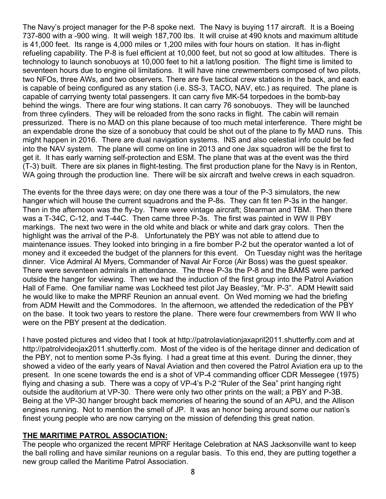The Navy's project manager for the P-8 spoke next. The Navy is buying 117 aircraft. It is a Boeing 737-800 with a -900 wing. It will weigh 187,700 lbs. It will cruise at 490 knots and maximum altitude is 41,000 feet. Its range is 4,000 miles or 1,200 miles with four hours on station. It has in-flight refueling capability. The P-8 is fuel efficient at 10,000 feet, but not so good at low altitudes. There is technology to launch sonobuoys at 10,000 feet to hit a lat/long position. The flight time is limited to seventeen hours due to engine oil limitations. It will have nine crewmembers composed of two pilots, two NFOs, three AWs, and two observers. There are five tactical crew stations in the back, and each is capable of being configured as any station (i.e. SS-3, TACO, NAV, etc.) as required. The plane is capable of carrying twenty total passengers. It can carry five MK-54 torpedoes in the bomb-bay behind the wings. There are four wing stations. It can carry 76 sonobuoys. They will be launched from three cylinders. They will be reloaded from the sono racks in flight. The cabin will remain pressurized. There is no MAD on this plane because of too much metal interference. There might be an expendable drone the size of a sonobuoy that could be shot out of the plane to fly MAD runs. This might happen in 2016. There are dual navigation systems. INS and also celestial info could be fed into the NAV system. The plane will come on line in 2013 and one Jax squadron will be the first to get it. It has early warning self-protection and ESM. The plane that was at the event was the third (T-3) built. There are six planes in flight-testing. The first production plane for the Navy is in Renton, WA going through the production line. There will be six aircraft and twelve crews in each squadron.

The events for the three days were; on day one there was a tour of the P-3 simulators, the new hanger which will house the current squadrons and the P-8s. They can fit ten P-3s in the hanger. Then in the afternoon was the fly-by. There were vintage aircraft; Stearman and TBM. Then there was a T-34C, C-12, and T-44C. Then came three P-3s. The first was painted in WW II PBY markings. The next two were in the old white and black or white and dark gray colors. Then the highlight was the arrival of the P-8. Unfortunately the PBY was not able to attend due to maintenance issues. They looked into bringing in a fire bomber P-2 but the operator wanted a lot of money and it exceeded the budget of the planners for this event. On Tuesday night was the heritage dinner. Vice Admiral Al Myers, Commander of Naval Air Force (Air Boss) was the guest speaker. There were seventeen admirals in attendance. The three P-3s the P-8 and the BAMS were parked outside the hanger for viewing. Then we had the induction of the first group into the Patrol Aviation Hall of Fame. One familiar name was Lockheed test pilot Jay Beasley, "Mr. P-3". ADM Hewitt said he would like to make the MPRF Reunion an annual event. On Wed morning we had the briefing from ADM Hewitt and the Commodores. In the afternoon, we attended the rededication of the PBY on the base. It took two years to restore the plane. There were four crewmembers from WW II who were on the PBY present at the dedication.

I have posted pictures and video that I took at http://patrolaviationjaxapril2011.shutterfly.com and at http://patrolvideojax2011.shutterfly.com. Most of the video is of the heritage dinner and dedication of the PBY, not to mention some P-3s flying. I had a great time at this event. During the dinner, they showed a video of the early years of Naval Aviation and then covered the Patrol Aviation era up to the present. In one scene towards the end is a shot of VP-4 commanding officer CDR Messegee (1975) flying and chasing a sub. There was a copy of VP-4's P-2 "Ruler of the Sea" print hanging right outside the auditorium at VP-30. There were only two other prints on the wall; a PBY and P-3B. Being at the VP-30 hanger brought back memories of hearing the sound of an APU, and the Allison engines running. Not to mention the smell of JP. It was an honor being around some our nation's finest young people who are now carrying on the mission of defending this great nation.

#### **THE MARITIME PATROL ASSOCIATION:**

The people who organized the recent MPRF Heritage Celebration at NAS Jacksonville want to keep the ball rolling and have similar reunions on a regular basis. To this end, they are putting together a new group called the Maritime Patrol Association.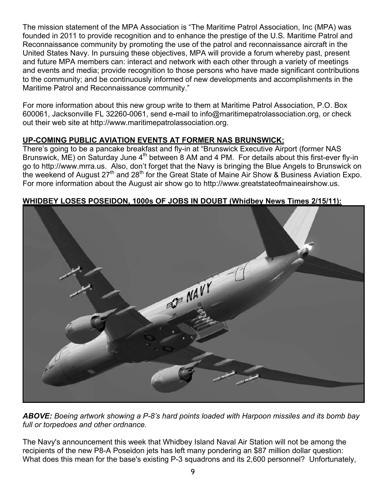The mission statement of the MPA Association is "The Maritime Patrol Association, Inc (MPA) was founded in 2011 to provide recognition and to enhance the prestige of the U.S. Maritime Patrol and Reconnaissance community by promoting the use of the patrol and reconnaissance aircraft in the United States Navy. In pursuing these objectives, MPA will provide a forum whereby past, present and future MPA members can: interact and network with each other through a variety of meetings and events and media; provide recognition to those persons who have made significant contributions to the community; and be continuously informed of new developments and accomplishments in the Maritime Patrol and Reconnaissance community."

For more information about this new group write to them at Maritime Patrol Association, P.O. Box 600061, Jacksonville FL 32260-0061, send e-mail to info@maritimepatrolassociation.org, or check out their web site at http://www.maritimepatrolassociation.org.

# **UP-COMING PUBLIC AVIATION EVENTS AT FORMER NAS BRUNSWICK:**

There's going to be a pancake breakfast and fly-in at "Brunswick Executive Airport (former NAS Brunswick,  $\overline{ME}$ ) on Saturday June 4<sup>th</sup> between 8 AM and 4 PM. For details about this first-ever fly-in go to http://www.mrra.us. Also, don't forget that the Navy is bringing the Blue Angels to Brunswick on the weekend of August  $27<sup>th</sup>$  and  $28<sup>th</sup>$  for the Great State of Maine Air Show & Business Aviation Expo. For more information about the August air show go to http://www.greatstateofmaineairshow.us.

![](_page_8_Picture_4.jpeg)

## **WHIDBEY LOSES POSEIDON, 1000s OF JOBS IN DOUBT (Whidbey News Times 2/15/11):**

*ABOVE: Boeing artwork showing a P-8's hard points loaded with Harpoon missiles and its bomb bay full or torpedoes and other ordnance.*

The Navy's announcement this week that Whidbey Island Naval Air Station will not be among the recipients of the new P8-A Poseidon jets has left many pondering an \$87 million dollar question: What does this mean for the base's existing P-3 squadrons and its 2,600 personnel? Unfortunately,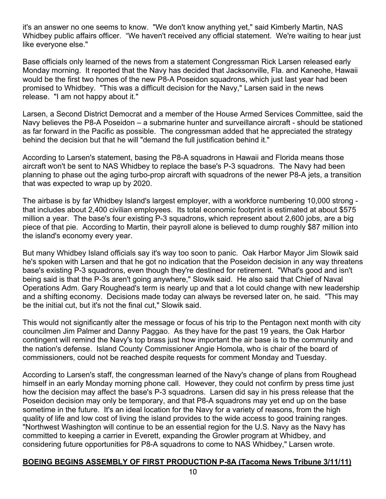it's an answer no one seems to know. "We don't know anything yet," said Kimberly Martin, NAS Whidbey public affairs officer. "We haven't received any official statement. We're waiting to hear just like everyone else."

Base officials only learned of the news from a statement Congressman Rick Larsen released early Monday morning. It reported that the Navy has decided that Jacksonville, Fla. and Kaneohe, Hawaii would be the first two homes of the new P8-A Poseidon squadrons, which just last year had been promised to Whidbey. "This was a difficult decision for the Navy," Larsen said in the news release. "I am not happy about it."

Larsen, a Second District Democrat and a member of the House Armed Services Committee, said the Navy believes the P8-A Poseidon – a submarine hunter and surveillance aircraft - should be stationed as far forward in the Pacific as possible. The congressman added that he appreciated the strategy behind the decision but that he will "demand the full justification behind it."

According to Larsen's statement, basing the P8-A squadrons in Hawaii and Florida means those aircraft won't be sent to NAS Whidbey to replace the base's P-3 squadrons. The Navy had been planning to phase out the aging turbo-prop aircraft with squadrons of the newer P8-A jets, a transition that was expected to wrap up by 2020.

The airbase is by far Whidbey Island's largest employer, with a workforce numbering 10,000 strong that includes about 2,400 civilian employees. Its total economic footprint is estimated at about \$575 million a year. The base's four existing P-3 squadrons, which represent about 2,600 jobs, are a big piece of that pie. According to Martin, their payroll alone is believed to dump roughly \$87 million into the island's economy every year.

But many Whidbey Island officials say it's way too soon to panic. Oak Harbor Mayor Jim Slowik said he's spoken with Larsen and that he got no indication that the Poseidon decision in any way threatens base's existing P-3 squadrons, even though they're destined for retirement. "What's good and isn't being said is that the P-3s aren't going anywhere," Slowik said. He also said that Chief of Naval Operations Adm. Gary Roughead's term is nearly up and that a lot could change with new leadership and a shifting economy. Decisions made today can always be reversed later on, he said. "This may be the initial cut, but it's not the final cut," Slowik said.

This would not significantly alter the message or focus of his trip to the Pentagon next month with city councilmen Jim Palmer and Danny Paggao. As they have for the past 19 years, the Oak Harbor contingent will remind the Navy's top brass just how important the air base is to the community and the nation's defense. Island County Commissioner Angie Homola, who is chair of the board of commissioners, could not be reached despite requests for comment Monday and Tuesday.

According to Larsen's staff, the congressman learned of the Navy's change of plans from Roughead himself in an early Monday morning phone call. However, they could not confirm by press time just how the decision may affect the base's P-3 squadrons. Larsen did say in his press release that the Poseidon decision may only be temporary, and that P8-A squadrons may yet end up on the base sometime in the future. It's an ideal location for the Navy for a variety of reasons, from the high quality of life and low cost of living the island provides to the wide access to good training ranges. "Northwest Washington will continue to be an essential region for the U.S. Navy as the Navy has committed to keeping a carrier in Everett, expanding the Growler program at Whidbey, and considering future opportunities for P8-A squadrons to come to NAS Whidbey," Larsen wrote.

# **BOEING BEGINS ASSEMBLY OF FIRST PRODUCTION P-8A (Tacoma News Tribune 3/11/11)**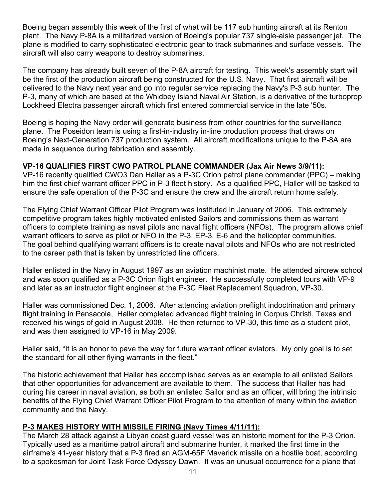Boeing began assembly this week of the first of what will be 117 sub hunting aircraft at its Renton plant. The Navy P-8A is a militarized version of Boeing's popular 737 single-aisle passenger jet. The plane is modified to carry sophisticated electronic gear to track submarines and surface vessels. The aircraft will also carry weapons to destroy submarines.

The company has already built seven of the P-8A aircraft for testing. This week's assembly start will be the first of the production aircraft being constructed for the U.S. Navy. That first aircraft will be delivered to the Navy next year and go into regular service replacing the Navy's P-3 sub hunter. The P-3, many of which are based at the Whidbey Island Naval Air Station, is a derivative of the turboprop Lockheed Electra passenger aircraft which first entered commercial service in the late '50s.

Boeing is hoping the Navy order will generate business from other countries for the surveillance plane. The Poseidon team is using a first-in-industry in-line production process that draws on Boeing's Next-Generation 737 production system. All aircraft modifications unique to the P-8A are made in sequence during fabrication and assembly.

## **VP-16 QUALIFIES FIRST CWO PATROL PLANE COMMANDER (Jax Air News 3/9/11):**

VP-16 recently qualified CWO3 Dan Haller as a P-3C Orion patrol plane commander (PPC) – making him the first chief warrant officer PPC in P-3 fleet history. As a qualified PPC, Haller will be tasked to ensure the safe operation of the P-3C and ensure the crew and the aircraft return home safely.

The Flying Chief Warrant Officer Pilot Program was instituted in January of 2006. This extremely competitive program takes highly motivated enlisted Sailors and commissions them as warrant officers to complete training as naval pilots and naval flight officers (NFOs). The program allows chief warrant officers to serve as pilot or NFO in the P-3, EP-3, E-6 and the helicopter communities. The goal behind qualifying warrant officers is to create naval pilots and NFOs who are not restricted to the career path that is taken by unrestricted line officers.

Haller enlisted in the Navy in August 1997 as an aviation machinist mate. He attended aircrew school and was soon qualified as a P-3C Orion flight engineer. He successfully completed tours with VP-9 and later as an instructor flight engineer at the P-3C Fleet Replacement Squadron, VP-30.

Haller was commissioned Dec. 1, 2006. After attending aviation preflight indoctrination and primary flight training in Pensacola, Haller completed advanced flight training in Corpus Christi, Texas and received his wings of gold in August 2008. He then returned to VP-30, this time as a student pilot, and was then assigned to VP-16 in May 2009.

Haller said, "It is an honor to pave the way for future warrant officer aviators. My only goal is to set the standard for all other flying warrants in the fleet."

The historic achievement that Haller has accomplished serves as an example to all enlisted Sailors that other opportunities for advancement are available to them. The success that Haller has had during his career in naval aviation, as both an enlisted Sailor and as an officer, will bring the intrinsic benefits of the Flying Chief Warrant Officer Pilot Program to the attention of many within the aviation community and the Navy.

## **P-3 MAKES HISTORY WITH MISSILE FIRING (Navy Times 4/11/11):**

The March 28 attack against a Libyan coast guard vessel was an historic moment for the P-3 Orion. Typically used as a maritime patrol aircraft and submarine hunter, it marked the first time in the airframe's 41-year history that a P-3 fired an AGM-65F Maverick missile on a hostile boat, according to a spokesman for Joint Task Force Odyssey Dawn. It was an unusual occurrence for a plane that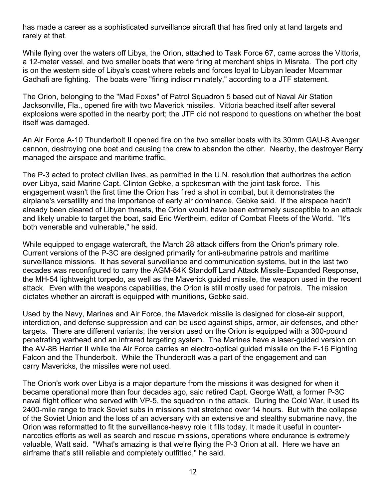has made a career as a sophisticated surveillance aircraft that has fired only at land targets and rarely at that.

While flying over the waters off Libya, the Orion, attached to Task Force 67, came across the Vittoria, a 12-meter vessel, and two smaller boats that were firing at merchant ships in Misrata. The port city is on the western side of Libya's coast where rebels and forces loyal to Libyan leader Moammar Gadhafi are fighting. The boats were "firing indiscriminately," according to a JTF statement.

The Orion, belonging to the "Mad Foxes" of Patrol Squadron 5 based out of Naval Air Station Jacksonville, Fla., opened fire with two Maverick missiles. Vittoria beached itself after several explosions were spotted in the nearby port; the JTF did not respond to questions on whether the boat itself was damaged.

An Air Force A-10 Thunderbolt II opened fire on the two smaller boats with its 30mm GAU-8 Avenger cannon, destroying one boat and causing the crew to abandon the other. Nearby, the destroyer Barry managed the airspace and maritime traffic.

The P-3 acted to protect civilian lives, as permitted in the U.N. resolution that authorizes the action over Libya, said Marine Capt. Clinton Gebke, a spokesman with the joint task force. This engagement wasn't the first time the Orion has fired a shot in combat, but it demonstrates the airplane's versatility and the importance of early air dominance, Gebke said. If the airspace hadn't already been cleared of Libyan threats, the Orion would have been extremely susceptible to an attack and likely unable to target the boat, said Eric Wertheim, editor of Combat Fleets of the World. "It's both venerable and vulnerable," he said.

While equipped to engage watercraft, the March 28 attack differs from the Orion's primary role. Current versions of the P-3C are designed primarily for anti-submarine patrols and maritime surveillance missions. It has several surveillance and communication systems, but in the last two decades was reconfigured to carry the AGM-84K Standoff Land Attack Missile-Expanded Response, the MH-54 lightweight torpedo, as well as the Maverick guided missile, the weapon used in the recent attack. Even with the weapons capabilities, the Orion is still mostly used for patrols. The mission dictates whether an aircraft is equipped with munitions, Gebke said.

Used by the Navy, Marines and Air Force, the Maverick missile is designed for close-air support, interdiction, and defense suppression and can be used against ships, armor, air defenses, and other targets. There are different variants; the version used on the Orion is equipped with a 300-pound penetrating warhead and an infrared targeting system. The Marines have a laser-guided version on the AV-8B Harrier II while the Air Force carries an electro-optical guided missile on the F-16 Fighting Falcon and the Thunderbolt. While the Thunderbolt was a part of the engagement and can carry Mavericks, the missiles were not used.

The Orion's work over Libya is a major departure from the missions it was designed for when it became operational more than four decades ago, said retired Capt. George Watt, a former P-3C naval flight officer who served with VP-5, the squadron in the attack. During the Cold War, it used its 2400-mile range to track Soviet subs in missions that stretched over 14 hours. But with the collapse of the Soviet Union and the loss of an adversary with an extensive and stealthy submarine navy, the Orion was reformatted to fit the surveillance-heavy role it fills today. It made it useful in counternarcotics efforts as well as search and rescue missions, operations where endurance is extremely valuable, Watt said. "What's amazing is that we're flying the P-3 Orion at all. Here we have an airframe that's still reliable and completely outfitted," he said.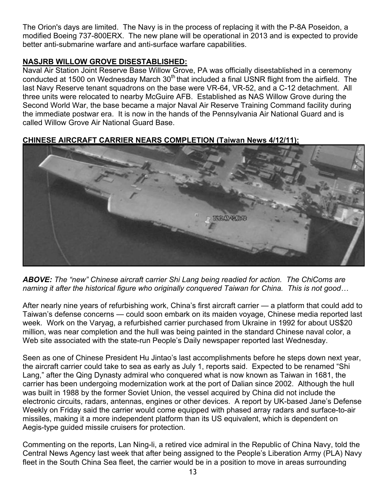The Orion's days are limited. The Navy is in the process of replacing it with the P-8A Poseidon, a modified Boeing 737-800ERX. The new plane will be operational in 2013 and is expected to provide better anti-submarine warfare and anti-surface warfare capabilities.

# **NASJRB WILLOW GROVE DISESTABLISHED:**

Naval Air Station Joint Reserve Base Willow Grove, PA was officially disestablished in a ceremony conducted at 1500 on Wednesday March  $30<sup>th</sup>$  that included a final USNR flight from the airfield. The last Navy Reserve tenant squadrons on the base were VR-64, VR-52, and a C-12 detachment. All three units were relocated to nearby McGuire AFB. Established as NAS Willow Grove during the Second World War, the base became a major Naval Air Reserve Training Command facility during the immediate postwar era. It is now in the hands of the Pennsylvania Air National Guard and is called Willow Grove Air National Guard Base.

# **CHINESE AIRCRAFT CARRIER NEARS COMPLETION (Taiwan News 4/12/11):**

![](_page_12_Picture_4.jpeg)

*ABOVE: The "new" Chinese aircraft carrier Shi Lang being readied for action. The ChiComs are naming it after the historical figure who originally conquered Taiwan for China. This is not good…* 

After nearly nine years of refurbishing work, China's first aircraft carrier — a platform that could add to Taiwan's defense concerns — could soon embark on its maiden voyage, Chinese media reported last week. Work on the Varyag, a refurbished carrier purchased from Ukraine in 1992 for about US\$20 million, was near completion and the hull was being painted in the standard Chinese naval color, a Web site associated with the state-run People's Daily newspaper reported last Wednesday.

Seen as one of Chinese President Hu Jintao's last accomplishments before he steps down next year, the aircraft carrier could take to sea as early as July 1, reports said. Expected to be renamed "Shi Lang," after the Qing Dynasty admiral who conquered what is now known as Taiwan in 1681, the carrier has been undergoing modernization work at the port of Dalian since 2002. Although the hull was built in 1988 by the former Soviet Union, the vessel acquired by China did not include the electronic circuits, radars, antennas, engines or other devices. A report by UK-based Jane's Defense Weekly on Friday said the carrier would come equipped with phased array radars and surface-to-air missiles, making it a more independent platform than its US equivalent, which is dependent on Aegis-type guided missile cruisers for protection.

Commenting on the reports, Lan Ning-li, a retired vice admiral in the Republic of China Navy, told the Central News Agency last week that after being assigned to the People's Liberation Army (PLA) Navy fleet in the South China Sea fleet, the carrier would be in a position to move in areas surrounding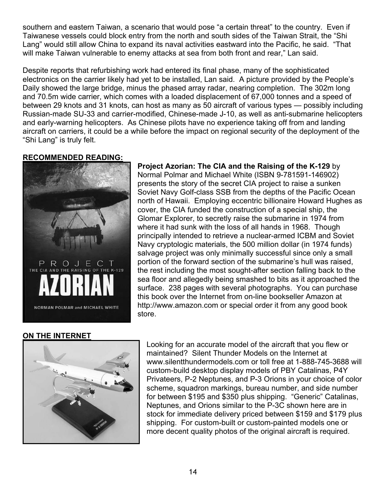southern and eastern Taiwan, a scenario that would pose "a certain threat" to the country. Even if Taiwanese vessels could block entry from the north and south sides of the Taiwan Strait, the "Shi Lang" would still allow China to expand its naval activities eastward into the Pacific, he said. "That will make Taiwan vulnerable to enemy attacks at sea from both front and rear," Lan said.

Despite reports that refurbishing work had entered its final phase, many of the sophisticated electronics on the carrier likely had yet to be installed, Lan said. A picture provided by the People's Daily showed the large bridge, minus the phased array radar, nearing completion. The 302m long and 70.5m wide carrier, which comes with a loaded displacement of 67,000 tonnes and a speed of between 29 knots and 31 knots, can host as many as 50 aircraft of various types — possibly including Russian-made SU-33 and carrier-modified, Chinese-made J-10, as well as anti-submarine helicopters and early-warning helicopters. As Chinese pilots have no experience taking off from and landing aircraft on carriers, it could be a while before the impact on regional security of the deployment of the "Shi Lang" is truly felt.

## **RECOMMENDED READING:**

![](_page_13_Picture_3.jpeg)

**Project Azorian: The CIA and the Raising of the K-129** by Normal Polmar and Michael White (ISBN 9-781591-146902) presents the story of the secret CIA project to raise a sunken Soviet Navy Golf-class SSB from the depths of the Pacific Ocean north of Hawaii. Employing eccentric billionaire Howard Hughes as cover, the CIA funded the construction of a special ship, the Glomar Explorer, to secretly raise the submarine in 1974 from where it had sunk with the loss of all hands in 1968. Though principally intended to retrieve a nuclear-armed ICBM and Soviet Navy cryptologic materials, the 500 million dollar (in 1974 funds) salvage project was only minimally successful since only a small portion of the forward section of the submarine's hull was raised, the rest including the most sought-after section falling back to the sea floor and allegedly being smashed to bits as it approached the surface. 238 pages with several photographs. You can purchase this book over the Internet from on-line bookseller Amazon at http://www.amazon.com or special order it from any good book store.

# **ON THE INTERNET**

![](_page_13_Picture_6.jpeg)

Looking for an accurate model of the aircraft that you flew or maintained? Silent Thunder Models on the Internet at www.silentthundermodels.com or toll free at 1-888-745-3688 will custom-build desktop display models of PBY Catalinas, P4Y Privateers, P-2 Neptunes, and P-3 Orions in your choice of color scheme, squadron markings, bureau number, and side number for between \$195 and \$350 plus shipping. "Generic" Catalinas, Neptunes, and Orions similar to the P-3C shown here are in stock for immediate delivery priced between \$159 and \$179 plus shipping. For custom-built or custom-painted models one or more decent quality photos of the original aircraft is required.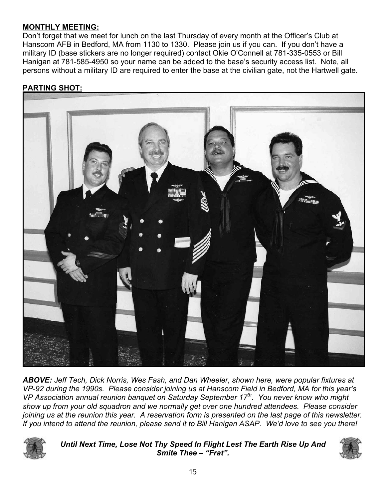# **MONTHLY MEETING:**

Don't forget that we meet for lunch on the last Thursday of every month at the Officer's Club at Hanscom AFB in Bedford, MA from 1130 to 1330. Please join us if you can. If you don't have a military ID (base stickers are no longer required) contact Okie O'Connell at 781-335-0553 or Bill Hanigan at 781-585-4950 so your name can be added to the base's security access list. Note, all persons without a military ID are required to enter the base at the civilian gate, not the Hartwell gate.

# **PARTING SHOT:**

![](_page_14_Picture_3.jpeg)

*ABOVE: Jeff Tech, Dick Norris, Wes Fash, and Dan Wheeler, shown here, were popular fixtures at VP-92 during the 1990s. Please consider joining us at Hanscom Field in Bedford, MA for this year's VP Association annual reunion banquet on Saturday September 17th. You never know who might show up from your old squadron and we normally get over one hundred attendees. Please consider joining us at the reunion this year. A reservation form is presented on the last page of this newsletter. If you intend to attend the reunion, please send it to Bill Hanigan ASAP. We'd love to see you there!*

![](_page_14_Picture_5.jpeg)

*Until Next Time, Lose Not Thy Speed In Flight Lest The Earth Rise Up And Smite Thee – "Frat".* 

![](_page_14_Picture_7.jpeg)